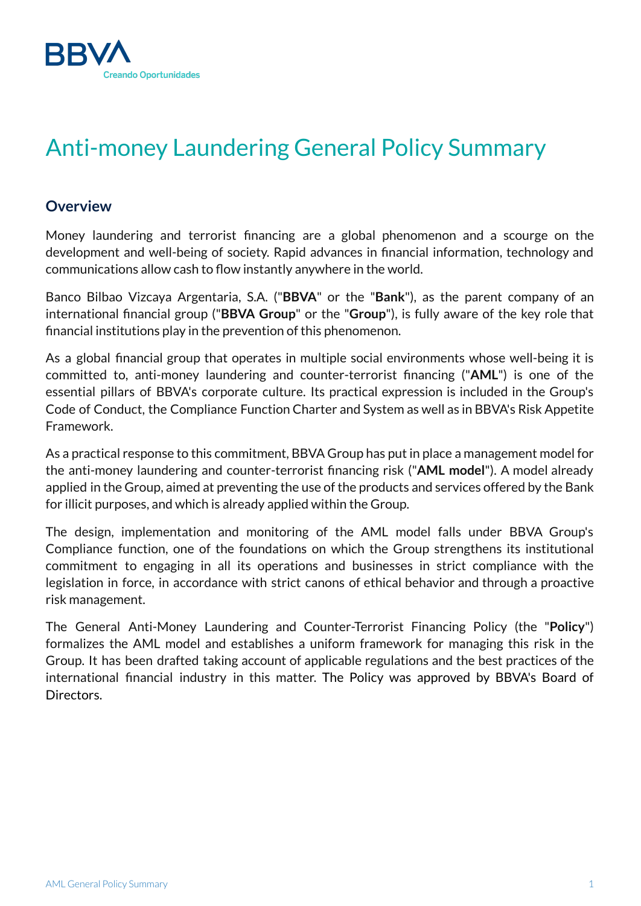

# Anti-money Laundering General Policy Summary

# **Overview**

Money laundering and terrorist financing are a global phenomenon and a scourge on the development and well-being of society. Rapid advances in financial information, technology and communications allow cash to flow instantly anywhere in the world.

Banco Bilbao Vizcaya Argentaria, S.A. ("**BBVA**" or the "**Bank**"), as the parent company of an international financial group ("**BBVA Group**" or the "**Group**"), is fully aware of the key role that financial institutions play in the prevention of this phenomenon.

As a global financial group that operates in multiple social environments whose well-being it is committed to, anti-money laundering and counter-terrorist financing ("**AML**") is one of the essential pillars of BBVA's corporate culture. Its practical expression is included in the Group's Code of Conduct, the Compliance Function Charter and System as well as in BBVA's Risk Appetite Framework.

As a practical response to this commitment, BBVA Group has put in place a management model for the anti-money laundering and counter-terrorist financing risk ("**AML model**"). A model already applied in the Group, aimed at preventing the use of the products and services offered by the Bank for illicit purposes, and which is already applied within the Group.

The design, implementation and monitoring of the AML model falls under BBVA Group's Compliance function, one of the foundations on which the Group strengthens its institutional commitment to engaging in all its operations and businesses in strict compliance with the legislation in force, in accordance with strict canons of ethical behavior and through a proactive risk management.

The General Anti-Money Laundering and Counter-Terrorist Financing Policy (the "**Policy**") formalizes the AML model and establishes a uniform framework for managing this risk in the Group. It has been drafted taking account of applicable regulations and the best practices of the international financial industry in this matter. The Policy was approved by BBVA's Board of Directors.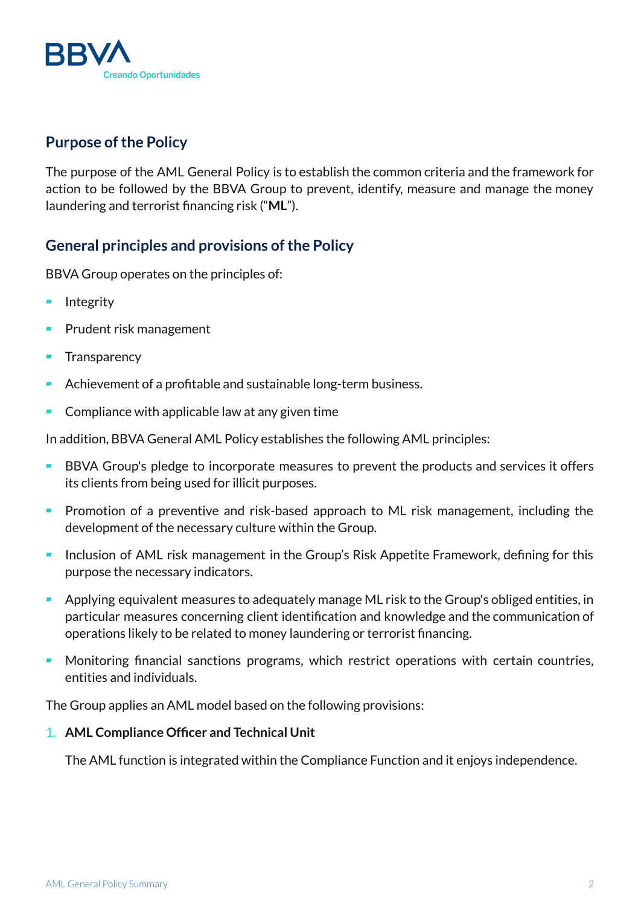

# **Purpose of the Policy**

The purpose of the AML General Policy is to establish the common criteria and the framework for action to be followed by the BBVA Group to prevent, identify, measure and manage the money laundering and terrorist financing risk ("**ML**").

# **General principles and provisions ofthe Policy**

BBVA Group operates on the principles of:

- Integrity
- Prudent risk management
- **Transparency**
- Achievement of a profitable and sustainable long-term business.
- $\blacksquare$  Compliance with applicable law at any given time

In addition, BBVA General AML Policy establishes the following AML principles:

- BBVA Group's pledge to incorporate measures to prevent the products and services it offers its clients from being used for illicit purposes.
- Promotion of a preventive and risk-based approach to ML risk management, including the development of the necessary culture within the Group.
- Inclusion of AML risk management in the Group's Risk Appetite Framework, defining for this purpose the necessary indicators.
- Applying equivalent measures to adequately manage ML risk to the Group's obliged entities, in particular measures concerning client identification and knowledge and the communication of operations likely to be related to money laundering or terrorist financing.
- Monitoring financial sanctions programs, which restrict operations with certain countries, entities and individuals.

The Group applies an AML model based on the following provisions:

# 1. **AML Compliance Officer and Technical Unit**

The AML function is integrated within the Compliance Function and it enjoys independence.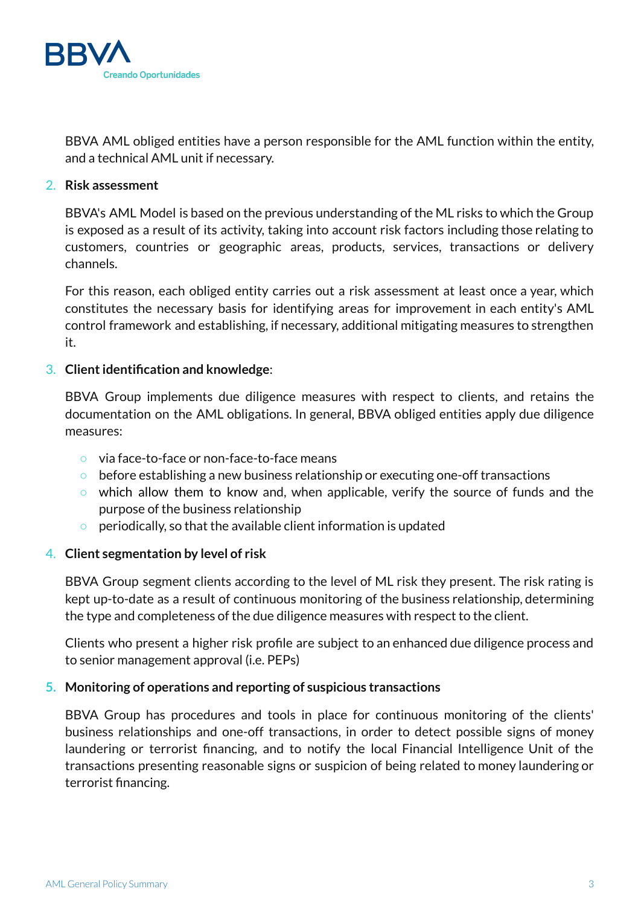

BBVA AML obliged entities have a person responsible for the AML function within the entity, and a technical AML unit if necessary.

### 2. **Risk assessment**

BBVA's AML Model is based on the previous understanding of the ML risks to which the Group is exposed as a result of its activity, taking into account risk factors including those relating to customers, countries or geographic areas, products, services, transactions or delivery channels.

For this reason, each obliged entity carries out a risk assessment at least once a year, which constitutes the necessary basis for identifying areas for improvement in each entity's AML control framework and establishing, if necessary, additional mitigating measures to strengthen it.

### 3. **Clientidentification and knowledge**:

BBVA Group implements due diligence measures with respect to clients, and retains the documentation on the AML obligations. In general, BBVA obliged entities apply due diligence measures:

- via face-to-face or non-face-to-face means
- before establishing a new business relationship or executing one-off transactions
- which allow them to know and, when applicable, verify the source of funds and the purpose of the business relationship
- periodically, so that the available client information is updated

# 4. **Client segmentation by level of risk**

BBVA Group segment clients according to the level of ML risk they present. The risk rating is kept up-to-date as a result of continuous monitoring of the business relationship, determining the type and completeness of the due diligence measures with respect to the client.

Clients who present a higher risk profile are subject to an enhanced due diligence process and to senior management approval (i.e. PEPs)

# **5. Monitoring of operations and reporting of suspicious transactions**

BBVA Group has procedures and tools in place for continuous monitoring of the clients' business relationships and one-off transactions, in order to detect possible signs of money laundering or terrorist financing, and to notify the local Financial Intelligence Unit of the transactions presenting reasonable signs or suspicion of being related to money laundering or terrorist financing.